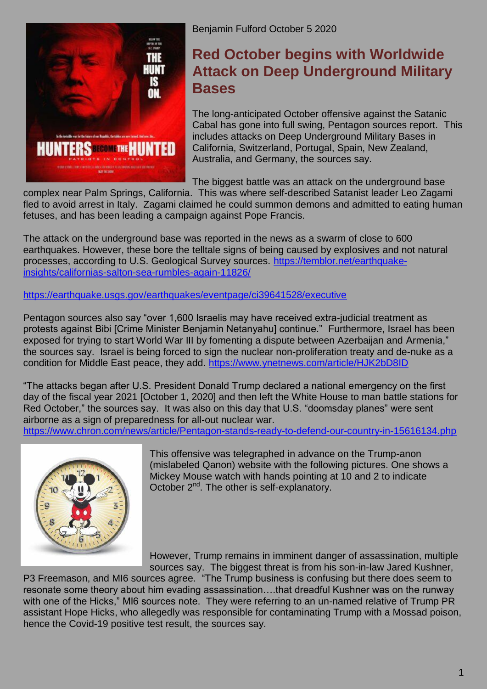

Benjamin Fulford October 5 2020

## **Red October [begins with Worldwide](https://benjaminfulford.net/2020/10/05/red-october-begins-with-worldwide-attack-on-deep-underground-military-bases/)  [Attack on Deep Underground Military](https://benjaminfulford.net/2020/10/05/red-october-begins-with-worldwide-attack-on-deep-underground-military-bases/)  [Bases](https://benjaminfulford.net/2020/10/05/red-october-begins-with-worldwide-attack-on-deep-underground-military-bases/)**

The long-anticipated October offensive against the Satanic Cabal has gone into full swing, Pentagon sources report. This includes attacks on Deep Underground Military Bases in California, Switzerland, Portugal, Spain, New Zealand, Australia, and Germany, the sources say.

The biggest battle was an attack on the underground base

complex near Palm Springs, California. This was where self-described Satanist leader Leo Zagami fled to avoid arrest in Italy. Zagami claimed he could summon demons and admitted to eating human fetuses, and has been leading a campaign against Pope Francis.

The attack on the underground base was reported in the news as a swarm of close to 600 earthquakes. However, these bore the telltale signs of being caused by explosives and not natural processes, according to U.S. Geological Survey sources. [https://temblor.net/earthquake](https://temblor.net/earthquake-insights/californias-salton-sea-rumbles-again-11826/)[insights/californias-salton-sea-rumbles-again-11826/](https://temblor.net/earthquake-insights/californias-salton-sea-rumbles-again-11826/)

<https://earthquake.usgs.gov/earthquakes/eventpage/ci39641528/executive>

Pentagon sources also say "over 1,600 Israelis may have received extra-judicial treatment as protests against Bibi [Crime Minister Benjamin Netanyahu] continue." Furthermore, Israel has been exposed for trying to start World War III by fomenting a dispute between Azerbaijan and Armenia," the sources say. Israel is being forced to sign the nuclear non-proliferation treaty and de-nuke as a condition for Middle East peace, they add.<https://www.ynetnews.com/article/HJK2bD8ID>

"The attacks began after U.S. President Donald Trump declared a national emergency on the first day of the fiscal year 2021 [October 1, 2020] and then left the White House to man battle stations for Red October," the sources say. It was also on this day that U.S. "doomsday planes" were sent airborne as a sign of preparedness for all-out nuclear war.

<https://www.chron.com/news/article/Pentagon-stands-ready-to-defend-our-country-in-15616134.php>



This offensive was telegraphed in advance on the Trump-anon (mislabeled Qanon) website with the following pictures. One shows a Mickey Mouse watch with hands pointing at 10 and 2 to indicate October 2<sup>nd</sup>. The other is self-explanatory.

However, Trump remains in imminent danger of assassination, multiple sources say. The biggest threat is from his son-in-law Jared Kushner,

P3 Freemason, and MI6 sources agree. "The Trump business is confusing but there does seem to resonate some theory about him evading assassination….that dreadful Kushner was on the runway with one of the Hicks," MI6 sources note. They were referring to an un-named relative of Trump PR assistant Hope Hicks, who allegedly was responsible for contaminating Trump with a Mossad poison, hence the Covid-19 positive test result, the sources say.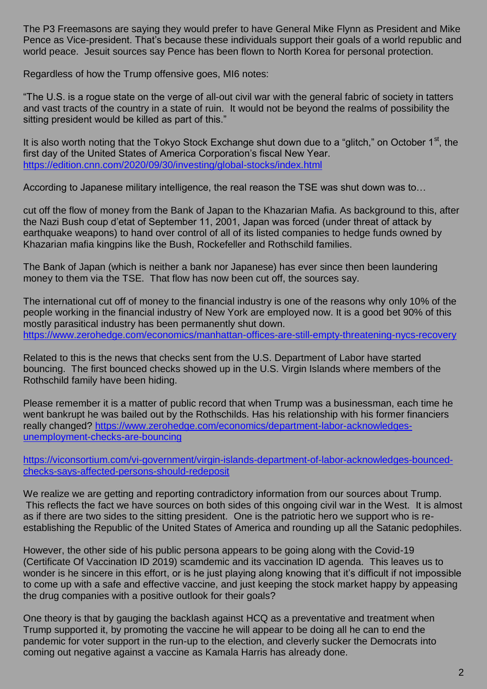The P3 Freemasons are saying they would prefer to have General Mike Flynn as President and Mike Pence as Vice-president. That's because these individuals support their goals of a world republic and world peace. Jesuit sources say Pence has been flown to North Korea for personal protection.

Regardless of how the Trump offensive goes, MI6 notes:

"The U.S. is a rogue state on the verge of all-out civil war with the general fabric of society in tatters and vast tracts of the country in a state of ruin. It would not be beyond the realms of possibility the sitting president would be killed as part of this."

It is also worth noting that the Tokyo Stock Exchange shut down due to a "glitch," on October  $1<sup>st</sup>$ , the first day of the United States of America Corporation's fiscal New Year. <https://edition.cnn.com/2020/09/30/investing/global-stocks/index.html>

According to Japanese military intelligence, the real reason the TSE was shut down was to…

cut off the flow of money from the Bank of Japan to the Khazarian Mafia. As background to this, after the Nazi Bush coup d'etat of September 11, 2001, Japan was forced (under threat of attack by earthquake weapons) to hand over control of all of its listed companies to hedge funds owned by Khazarian mafia kingpins like the Bush, Rockefeller and Rothschild families.

The Bank of Japan (which is neither a bank nor Japanese) has ever since then been laundering money to them via the TSE. That flow has now been cut off, the sources say.

The international cut off of money to the financial industry is one of the reasons why only 10% of the people working in the financial industry of New York are employed now. It is a good bet 90% of this mostly parasitical industry has been permanently shut down. <https://www.zerohedge.com/economics/manhattan-offices-are-still-empty-threatening-nycs-recovery>

Related to this is the news that checks sent from the U.S. Department of Labor have started bouncing. The first bounced checks showed up in the U.S. Virgin Islands where members of the Rothschild family have been hiding.

Please remember it is a matter of public record that when Trump was a businessman, each time he went bankrupt he was bailed out by the Rothschilds. Has his relationship with his former financiers really changed? [https://www.zerohedge.com/economics/department-labor-acknowledges](https://www.zerohedge.com/economics/department-labor-acknowledges-unemployment-checks-are-bouncing)[unemployment-checks-are-bouncing](https://www.zerohedge.com/economics/department-labor-acknowledges-unemployment-checks-are-bouncing)

[https://viconsortium.com/vi-government/virgin-islands-department-of-labor-acknowledges-bounced](https://viconsortium.com/vi-government/virgin-islands-department-of-labor-acknowledges-bounced-checks-says-affected-persons-should-redeposit)[checks-says-affected-persons-should-redeposit](https://viconsortium.com/vi-government/virgin-islands-department-of-labor-acknowledges-bounced-checks-says-affected-persons-should-redeposit)

We realize we are getting and reporting contradictory information from our sources about Trump. This reflects the fact we have sources on both sides of this ongoing civil war in the West. It is almost as if there are two sides to the sitting president. One is the patriotic hero we support who is reestablishing the Republic of the United States of America and rounding up all the Satanic pedophiles.

However, the other side of his public persona appears to be going along with the Covid-19 (Certificate Of Vaccination ID 2019) scamdemic and its vaccination ID agenda. This leaves us to wonder is he sincere in this effort, or is he just playing along knowing that it's difficult if not impossible to come up with a safe and effective vaccine, and just keeping the stock market happy by appeasing the drug companies with a positive outlook for their goals?

One theory is that by gauging the backlash against HCQ as a preventative and treatment when Trump supported it, by promoting the vaccine he will appear to be doing all he can to end the pandemic for voter support in the run-up to the election, and cleverly sucker the Democrats into coming out negative against a vaccine as Kamala Harris has already done.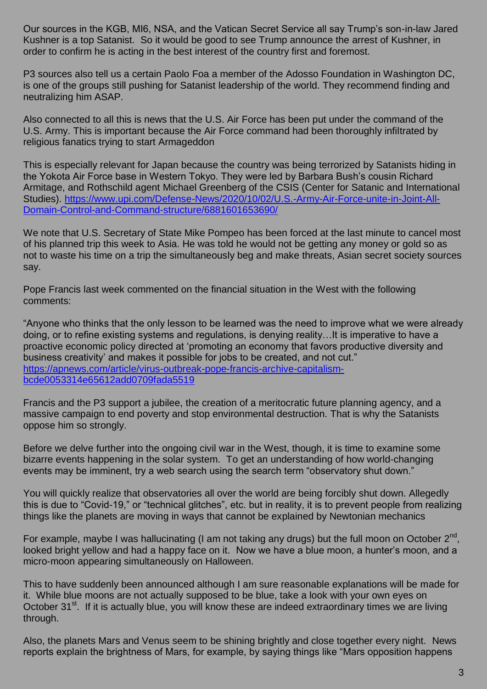Our sources in the KGB, MI6, NSA, and the Vatican Secret Service all say Trump's son-in-law Jared Kushner is a top Satanist. So it would be good to see Trump announce the arrest of Kushner, in order to confirm he is acting in the best interest of the country first and foremost.

P3 sources also tell us a certain Paolo Foa a member of the Adosso Foundation in Washington DC, is one of the groups still pushing for Satanist leadership of the world. They recommend finding and neutralizing him ASAP.

Also connected to all this is news that the U.S. Air Force has been put under the command of the U.S. Army. This is important because the Air Force command had been thoroughly infiltrated by religious fanatics trying to start Armageddon

This is especially relevant for Japan because the country was being terrorized by Satanists hiding in the Yokota Air Force base in Western Tokyo. They were led by Barbara Bush's cousin Richard Armitage, and Rothschild agent Michael Greenberg of the CSIS (Center for Satanic and International Studies). [https://www.upi.com/Defense-News/2020/10/02/U.S.-Army-Air-Force-unite-in-Joint-All-](https://www.upi.com/Defense-News/2020/10/02/US-Army-Air-Force-unite-in-Joint-All-Domain-Control-and-Command-structure/6881601653690/)[Domain-Control-and-Command-structure/6881601653690/](https://www.upi.com/Defense-News/2020/10/02/US-Army-Air-Force-unite-in-Joint-All-Domain-Control-and-Command-structure/6881601653690/)

We note that U.S. Secretary of State Mike Pompeo has been forced at the last minute to cancel most of his planned trip this week to Asia. He was told he would not be getting any money or gold so as not to waste his time on a trip the simultaneously beg and make threats, Asian secret society sources say.

Pope Francis last week commented on the financial situation in the West with the following comments:

"Anyone who thinks that the only lesson to be learned was the need to improve what we were already doing, or to refine existing systems and regulations, is denying reality…It is imperative to have a proactive economic policy directed at 'promoting an economy that favors productive diversity and business creativity' and makes it possible for jobs to be created, and not cut." [https://apnews.com/article/virus-outbreak-pope-francis-archive-capitalism](https://apnews.com/article/virus-outbreak-pope-francis-archive-capitalism-bcde0053314e65612add0709fada5519)[bcde0053314e65612add0709fada5519](https://apnews.com/article/virus-outbreak-pope-francis-archive-capitalism-bcde0053314e65612add0709fada5519)

Francis and the P3 support a jubilee, the creation of a meritocratic future planning agency, and a massive campaign to end poverty and stop environmental destruction. That is why the Satanists oppose him so strongly.

Before we delve further into the ongoing civil war in the West, though, it is time to examine some bizarre events happening in the solar system. To get an understanding of how world-changing events may be imminent, try a web search using the search term "observatory shut down."

You will quickly realize that observatories all over the world are being forcibly shut down. Allegedly this is due to "Covid-19," or "technical glitches", etc. but in reality, it is to prevent people from realizing things like the planets are moving in ways that cannot be explained by Newtonian mechanics

For example, maybe I was hallucinating (I am not taking any drugs) but the full moon on October  $2^{nd}$ , looked bright yellow and had a happy face on it. Now we have a blue moon, a hunter's moon, and a micro-moon appearing simultaneously on Halloween.

This to have suddenly been announced although I am sure reasonable explanations will be made for it. While blue moons are not actually supposed to be blue, take a look with your own eyes on October 31<sup>st</sup>. If it is actually blue, you will know these are indeed extraordinary times we are living through.

Also, the planets Mars and Venus seem to be shining brightly and close together every night. News reports explain the brightness of Mars, for example, by saying things like "Mars opposition happens